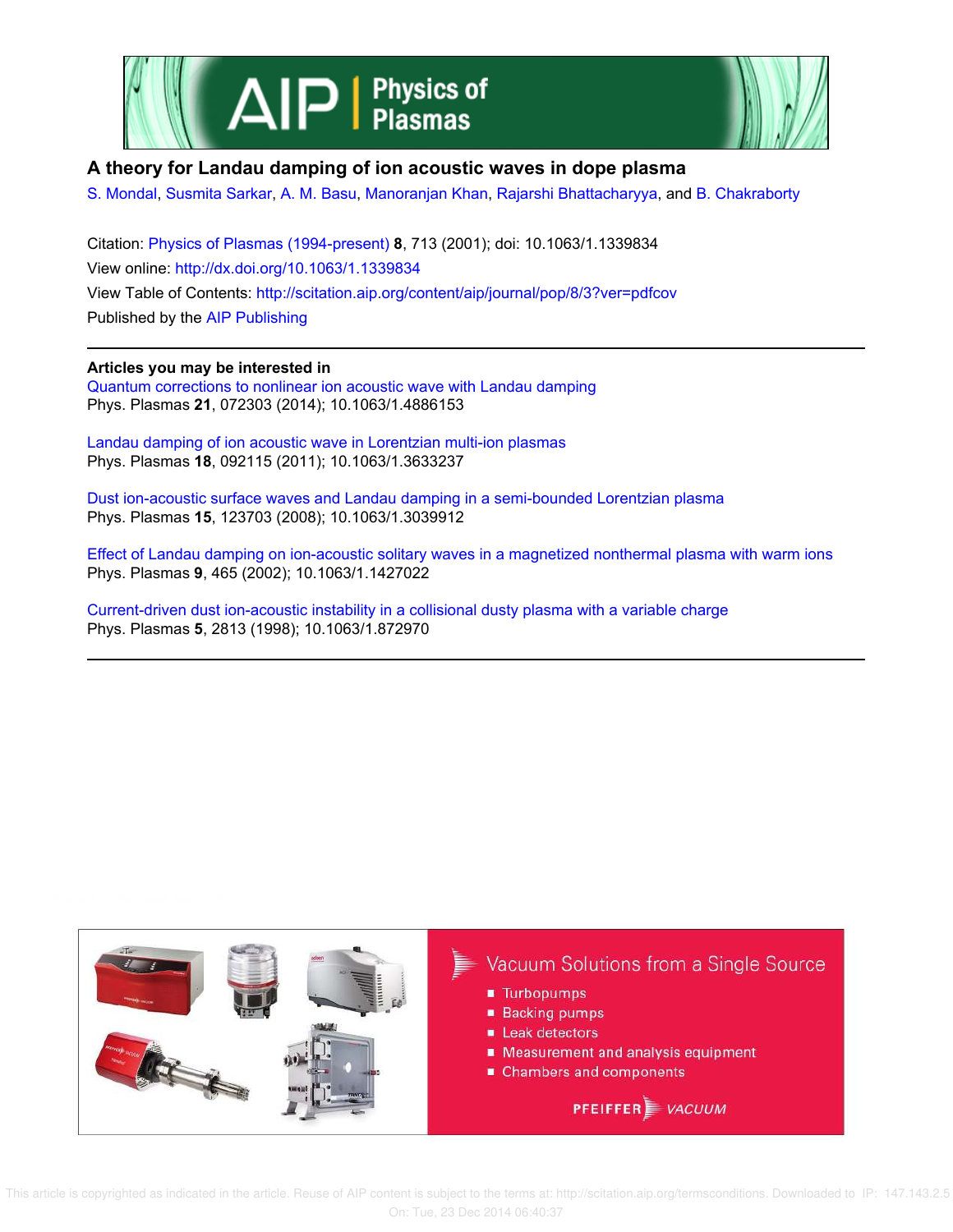



## **A theory for Landau damping of ion acoustic waves in dope plasma**

S. Mondal, Susmita Sarkar, A. M. Basu, Manoranjan Khan, Rajarshi Bhattacharyya, and B. Chakraborty

Citation: Physics of Plasmas (1994-present) **8**, 713 (2001); doi: 10.1063/1.1339834 View online: http://dx.doi.org/10.1063/1.1339834 View Table of Contents: http://scitation.aip.org/content/aip/journal/pop/8/3?ver=pdfcov Published by the AIP Publishing

**Articles you may be interested in**

Quantum corrections to nonlinear ion acoustic wave with Landau damping Phys. Plasmas **21**, 072303 (2014); 10.1063/1.4886153

Landau damping of ion acoustic wave in Lorentzian multi-ion plasmas Phys. Plasmas **18**, 092115 (2011); 10.1063/1.3633237

Dust ion-acoustic surface waves and Landau damping in a semi-bounded Lorentzian plasma Phys. Plasmas **15**, 123703 (2008); 10.1063/1.3039912

Effect of Landau damping on ion-acoustic solitary waves in a magnetized nonthermal plasma with warm ions Phys. Plasmas **9**, 465 (2002); 10.1063/1.1427022

Current-driven dust ion-acoustic instability in a collisional dusty plasma with a variable charge Phys. Plasmas **5**, 2813 (1998); 10.1063/1.872970



 This article is copyrighted as indicated in the article. Reuse of AIP content is subject to the terms at: http://scitation.aip.org/termsconditions. Downloaded to IP: 147.143.2.5 On: Tue, 23 Dec 2014 06:40:37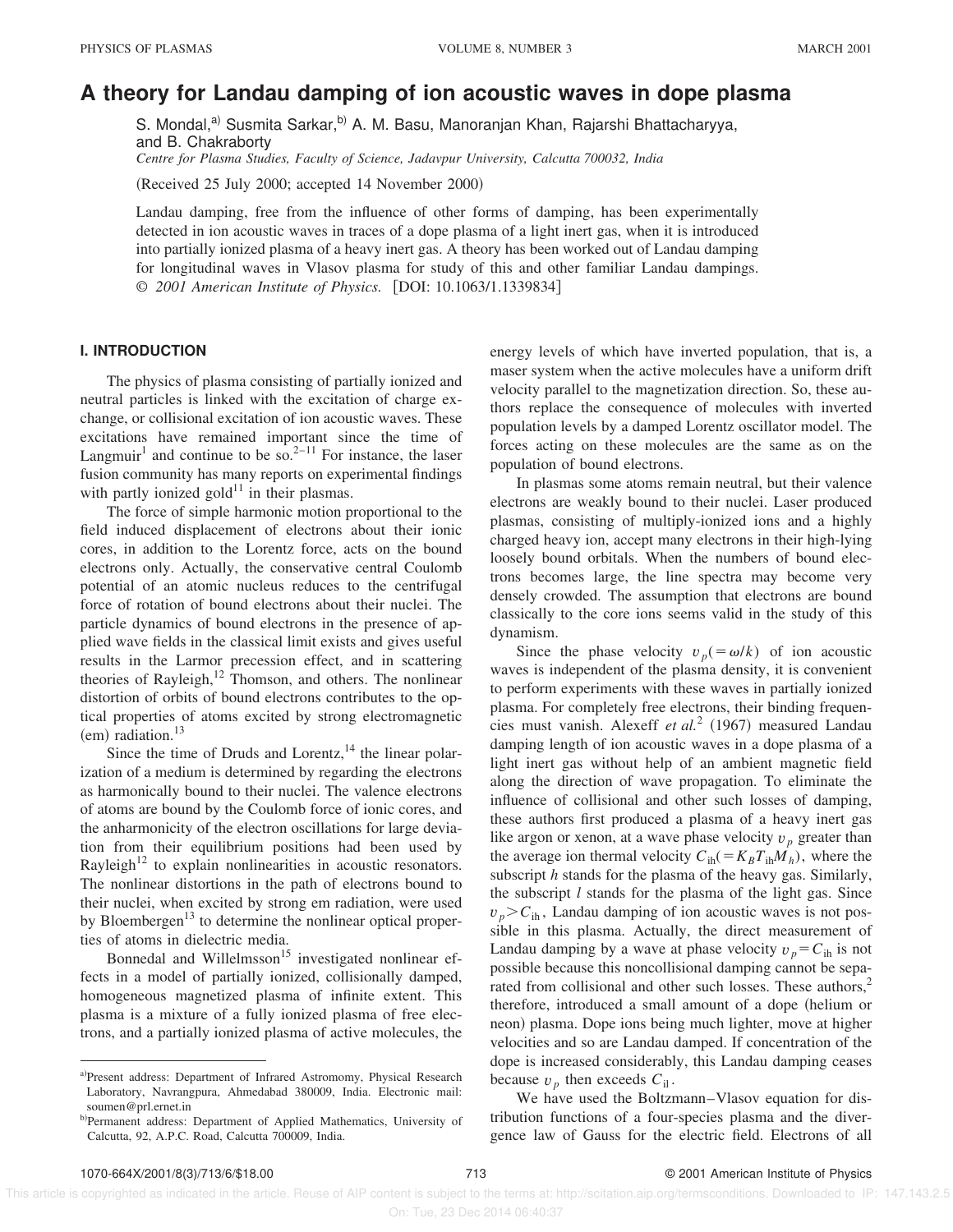# **A theory for Landau damping of ion acoustic waves in dope plasma**

S. Mondal,<sup>a)</sup> Susmita Sarkar,<sup>b)</sup> A. M. Basu, Manoranjan Khan, Rajarshi Bhattacharyya, and B. Chakraborty

*Centre for Plasma Studies, Faculty of Science, Jadavpur University, Calcutta 700032, India*

 $(Received 25 July 2000; accepted 14 November 2000)$ 

Landau damping, free from the influence of other forms of damping, has been experimentally detected in ion acoustic waves in traces of a dope plasma of a light inert gas, when it is introduced into partially ionized plasma of a heavy inert gas. A theory has been worked out of Landau damping for longitudinal waves in Vlasov plasma for study of this and other familiar Landau dampings. © *2001 American Institute of Physics.* [DOI: 10.1063/1.1339834]

## **I. INTRODUCTION**

The physics of plasma consisting of partially ionized and neutral particles is linked with the excitation of charge exchange, or collisional excitation of ion acoustic waves. These excitations have remained important since the time of Langmuir<sup>1</sup> and continue to be so.<sup>2-11</sup> For instance, the laser fusion community has many reports on experimental findings with partly ionized gold $^{11}$  in their plasmas.

The force of simple harmonic motion proportional to the field induced displacement of electrons about their ionic cores, in addition to the Lorentz force, acts on the bound electrons only. Actually, the conservative central Coulomb potential of an atomic nucleus reduces to the centrifugal force of rotation of bound electrons about their nuclei. The particle dynamics of bound electrons in the presence of applied wave fields in the classical limit exists and gives useful results in the Larmor precession effect, and in scattering theories of Rayleigh, $12$  Thomson, and others. The nonlinear distortion of orbits of bound electrons contributes to the optical properties of atoms excited by strong electromagnetic  $~(em)$  radiation.<sup>13</sup>

Since the time of Druds and Lorentz,  $14$  the linear polarization of a medium is determined by regarding the electrons as harmonically bound to their nuclei. The valence electrons of atoms are bound by the Coulomb force of ionic cores, and the anharmonicity of the electron oscillations for large deviation from their equilibrium positions had been used by Rayleigh<sup>12</sup> to explain nonlinearities in acoustic resonators. The nonlinear distortions in the path of electrons bound to their nuclei, when excited by strong em radiation, were used by Bloembergen<sup>13</sup> to determine the nonlinear optical properties of atoms in dielectric media.

Bonnedal and Willelmsson<sup>15</sup> investigated nonlinear effects in a model of partially ionized, collisionally damped, homogeneous magnetized plasma of infinite extent. This plasma is a mixture of a fully ionized plasma of free electrons, and a partially ionized plasma of active molecules, the energy levels of which have inverted population, that is, a maser system when the active molecules have a uniform drift velocity parallel to the magnetization direction. So, these authors replace the consequence of molecules with inverted population levels by a damped Lorentz oscillator model. The forces acting on these molecules are the same as on the population of bound electrons.

In plasmas some atoms remain neutral, but their valence electrons are weakly bound to their nuclei. Laser produced plasmas, consisting of multiply-ionized ions and a highly charged heavy ion, accept many electrons in their high-lying loosely bound orbitals. When the numbers of bound electrons becomes large, the line spectra may become very densely crowded. The assumption that electrons are bound classically to the core ions seems valid in the study of this dynamism.

Since the phase velocity  $v_p (= \omega/k)$  of ion acoustic waves is independent of the plasma density, it is convenient to perform experiments with these waves in partially ionized plasma. For completely free electrons, their binding frequencies must vanish. Alexeff et al.<sup>2</sup> (1967) measured Landau damping length of ion acoustic waves in a dope plasma of a light inert gas without help of an ambient magnetic field along the direction of wave propagation. To eliminate the influence of collisional and other such losses of damping, these authors first produced a plasma of a heavy inert gas like argon or xenon, at a wave phase velocity  $v_p$  greater than the average ion thermal velocity  $C_{ih} = K_B T_{ih} M_h$ , where the subscript *h* stands for the plasma of the heavy gas. Similarly, the subscript *l* stands for the plasma of the light gas. Since  $v_p > C_{\text{ih}}$ , Landau damping of ion acoustic waves is not possible in this plasma. Actually, the direct measurement of Landau damping by a wave at phase velocity  $v_p = C_{ih}$  is not possible because this noncollisional damping cannot be separated from collisional and other such losses. These authors, $2$ therefore, introduced a small amount of a dope (helium or neon) plasma. Dope ions being much lighter, move at higher velocities and so are Landau damped. If concentration of the dope is increased considerably, this Landau damping ceases because  $v_p$  then exceeds  $C_{il}$ .

We have used the Boltzmann–Vlasov equation for distribution functions of a four-species plasma and the divergence law of Gauss for the electric field. Electrons of all

a)Present address: Department of Infrared Astromomy, Physical Research Laboratory, Navrangpura, Ahmedabad 380009, India. Electronic mail: soumen@prl.ernet.in

b)Permanent address: Department of Applied Mathematics, University of Calcutta, 92, A.P.C. Road, Calcutta 700009, India.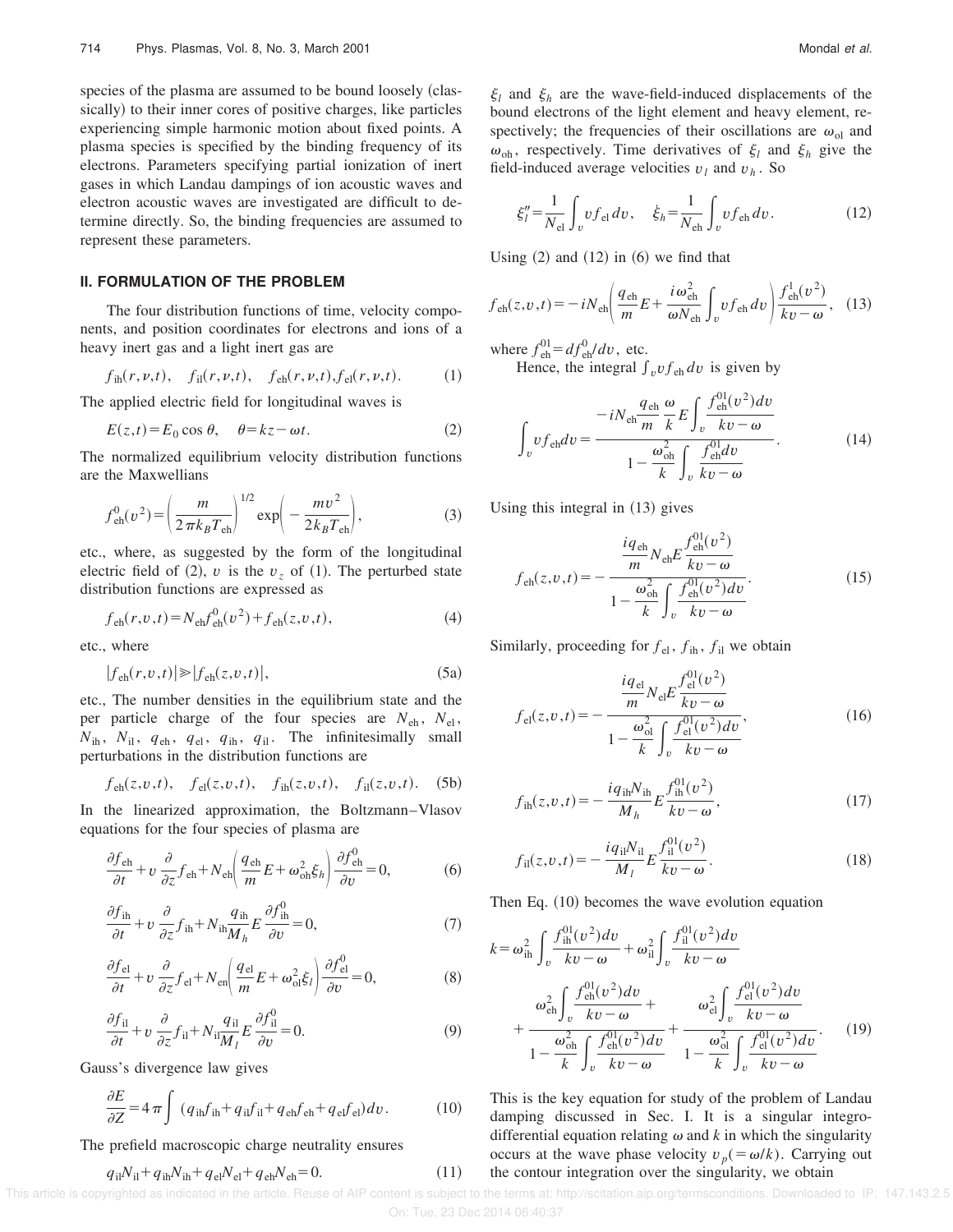species of the plasma are assumed to be bound loosely (classically) to their inner cores of positive charges, like particles experiencing simple harmonic motion about fixed points. A plasma species is specified by the binding frequency of its electrons. Parameters specifying partial ionization of inert gases in which Landau dampings of ion acoustic waves and electron acoustic waves are investigated are difficult to determine directly. So, the binding frequencies are assumed to represent these parameters.

#### **II. FORMULATION OF THE PROBLEM**

The four distribution functions of time, velocity components, and position coordinates for electrons and ions of a heavy inert gas and a light inert gas are

$$
f_{\text{ih}}(r, \nu, t), \quad f_{\text{il}}(r, \nu, t), \quad f_{\text{eh}}(r, \nu, t), f_{\text{el}}(r, \nu, t). \tag{1}
$$

The applied electric field for longitudinal waves is

$$
E(z,t) = E_0 \cos \theta, \quad \theta = kz - \omega t.
$$
 (2)

The normalized equilibrium velocity distribution functions are the Maxwellians

$$
f_{\text{eh}}^0(v^2) = \left(\frac{m}{2\pi k_B T_{\text{eh}}}\right)^{1/2} \exp\left(-\frac{mv^2}{2k_B T_{\text{eh}}}\right),\tag{3}
$$

etc., where, as suggested by the form of the longitudinal electric field of (2), *v* is the  $v<sub>z</sub>$  of (1). The perturbed state distribution functions are expressed as

$$
f_{\text{eh}}(r, v, t) = N_{\text{eh}} f_{\text{eh}}^0(v^2) + f_{\text{eh}}(z, v, t),
$$
\n(4)

etc., where

$$
|f_{\text{eh}}(r, v, t)| \ge |f_{\text{eh}}(z, v, t)|,\tag{5a}
$$

etc., The number densities in the equilibrium state and the per particle charge of the four species are  $N_{eh}$ ,  $N_{el}$ ,  $N_{ih}$ ,  $N_{il}$ ,  $q_{eh}$ ,  $q_{el}$ ,  $q_{ih}$ ,  $q_{il}$ . The infinitesimally small perturbations in the distribution functions are

$$
f_{\text{eh}}(z, v, t), \quad f_{\text{el}}(z, v, t), \quad f_{\text{ih}}(z, v, t), \quad f_{\text{il}}(z, v, t). \quad (5b)
$$

In the linearized approximation, the Boltzmann–Vlasov equations for the four species of plasma are

$$
\frac{\partial f_{\text{eh}}}{\partial t} + v \frac{\partial}{\partial z} f_{\text{eh}} + N_{\text{eh}} \left( \frac{q_{\text{eh}}}{m} E + \omega_{\text{oh}}^2 \xi_h \right) \frac{\partial f_{\text{eh}}^0}{\partial v} = 0, \tag{6}
$$

$$
\frac{\partial f_{\text{ih}}}{\partial t} + v \frac{\partial}{\partial z} f_{\text{ih}} + N_{\text{ih}} \frac{q_{\text{ih}}}{M_h} E \frac{\partial f_{\text{ih}}^0}{\partial v} = 0, \tag{7}
$$

$$
\frac{\partial f_{\text{el}}}{\partial t} + v \frac{\partial}{\partial z} f_{\text{el}} + N_{\text{en}} \left( \frac{q_{\text{el}}}{m} E + \omega_{\text{ol}}^2 \xi_l \right) \frac{\partial f_{\text{el}}^0}{\partial v} = 0, \tag{8}
$$

$$
\frac{\partial f_{\rm il}}{\partial t} + v \frac{\partial}{\partial z} f_{\rm il} + N_{\rm il} \frac{q_{\rm il}}{M_l} E \frac{\partial f_{\rm il}^0}{\partial v} = 0.
$$
\n(9)

Gauss's divergence law gives

$$
\frac{\partial E}{\partial Z} = 4 \pi \int (q_{\text{ih}} f_{\text{ih}} + q_{\text{il}} f_{\text{il}} + q_{\text{eh}} f_{\text{eh}} + q_{\text{el}} f_{\text{el}}) dv. \tag{10}
$$

The prefield macroscopic charge neutrality ensures

$$
q_{\rm il} N_{\rm il} + q_{\rm ih} N_{\rm ih} + q_{\rm el} N_{\rm el} + q_{\rm eh} N_{\rm eh} = 0.
$$
 (11)

 $\xi_l$  and  $\xi_h$  are the wave-field-induced displacements of the bound electrons of the light element and heavy element, respectively; the frequencies of their oscillations are  $\omega_{ol}$  and  $\omega_{\text{oh}}$ , respectively. Time derivatives of  $\xi_l$  and  $\xi_h$  give the field-induced average velocities  $v_l$  and  $v_h$ . So

$$
\xi_l'' = \frac{1}{N_{\rm el}} \int_v v f_{\rm el} \, dv, \quad \xi_h = \frac{1}{N_{\rm eh}} \int_v v f_{\rm eh} \, dv. \tag{12}
$$

Using  $(2)$  and  $(12)$  in  $(6)$  we find that

$$
f_{\text{eh}}(z,v,t) = -iN_{\text{eh}} \left( \frac{q_{\text{eh}}}{m} E + \frac{i\omega_{\text{eh}}^2}{\omega N_{\text{eh}}} \int_v v f_{\text{eh}} \, dv \right) \frac{f_{\text{eh}}^1(v^2)}{kv - \omega}, \tag{13}
$$

where  $f_{eh}^{01} = df_{eh}^{0}/dv$ , etc.

Hence, the integral  $\int_{v} v f_{eh} dv$  is given by

$$
\int_{v} vf_{\text{eh}} dv = \frac{-iN_{\text{eh}} \frac{q_{\text{eh}}}{m} \frac{\omega}{k} E \int_{v} \frac{f_{\text{eh}}^{01}(v^{2}) dv}{kv - \omega}}{1 - \frac{\omega_{\text{oh}}^{2}}{k} \int_{v} \frac{f_{\text{eh}}^{01}(dv)}{kv - \omega}}.
$$
(14)

Using this integral in  $(13)$  gives

$$
f_{\rm eh}(z, v, t) = -\frac{\frac{i q_{\rm eh}}{m} N_{\rm eh} E \frac{f_{\rm eh}^{01}(v^2)}{kv - \omega}}{1 - \frac{\omega_{\rm eh}^2}{k} \int_v \frac{f_{\rm eh}^{01}(v^2) dv}{kv - \omega}}.
$$
(15)

Similarly, proceeding for  $f_{el}$ ,  $f_{ih}$ ,  $f_{il}$  we obtain

$$
f_{\rm el}(z, v, t) = -\frac{\frac{i q_{\rm el}}{m} N_{\rm el} E \frac{f_{\rm el}^{01}(v^2)}{kv - \omega}}{1 - \frac{\omega_{\rm ol}^2}{k} \int_v \frac{f_{\rm el}^{01}(v^2) dv}{kv - \omega}},
$$
(16)

$$
f_{\rm ih}(z, v, t) = -\frac{i q_{\rm ih} N_{\rm ih}}{M_h} E \frac{f_{\rm ih}^{01}(v^2)}{kv - \omega},\tag{17}
$$

$$
f_{\rm il}(z,v,t) = -\frac{i q_{\rm il} N_{\rm il}}{M_l} E \frac{f_{\rm il}^{01}(v^2)}{kv - \omega}.
$$
 (18)

Then Eq.  $(10)$  becomes the wave evolution equation

$$
k = \omega_{\rm ih}^2 \int_v \frac{f_{\rm ih}^{01}(v^2) dv}{kv - \omega} + \omega_{\rm il}^2 \int_v \frac{f_{\rm il}^{01}(v^2) dv}{kv - \omega} + \frac{\omega_{\rm eh}^2 \int_v \frac{f_{\rm eh}^{01}(v^2) dv}{kv - \omega} + \frac{\omega_{\rm eh}^2 \int_v \frac{f_{\rm eh}^{01}(v^2) dv}{kv - \omega}}{1 - \frac{\omega_{\rm oh}^2}{k} \int_v \frac{f_{\rm eh}^{01}(v^2) dv}{kv - \omega} + \frac{\omega_{\rm el}^2 \int_v \frac{f_{\rm eh}^{01}(v^2) dv}{kv - \omega}}{1 - \frac{\omega_{\rm ol}^2}{k} \int_v \frac{f_{\rm eh}^{01}(v^2) dv}{kv - \omega}}.
$$
 (19)

This is the key equation for study of the problem of Landau damping discussed in Sec. I. It is a singular integrodifferential equation relating  $\omega$  and  $k$  in which the singularity occurs at the wave phase velocity  $v_p = \omega/k$ ). Carrying out the contour integration over the singularity, we obtain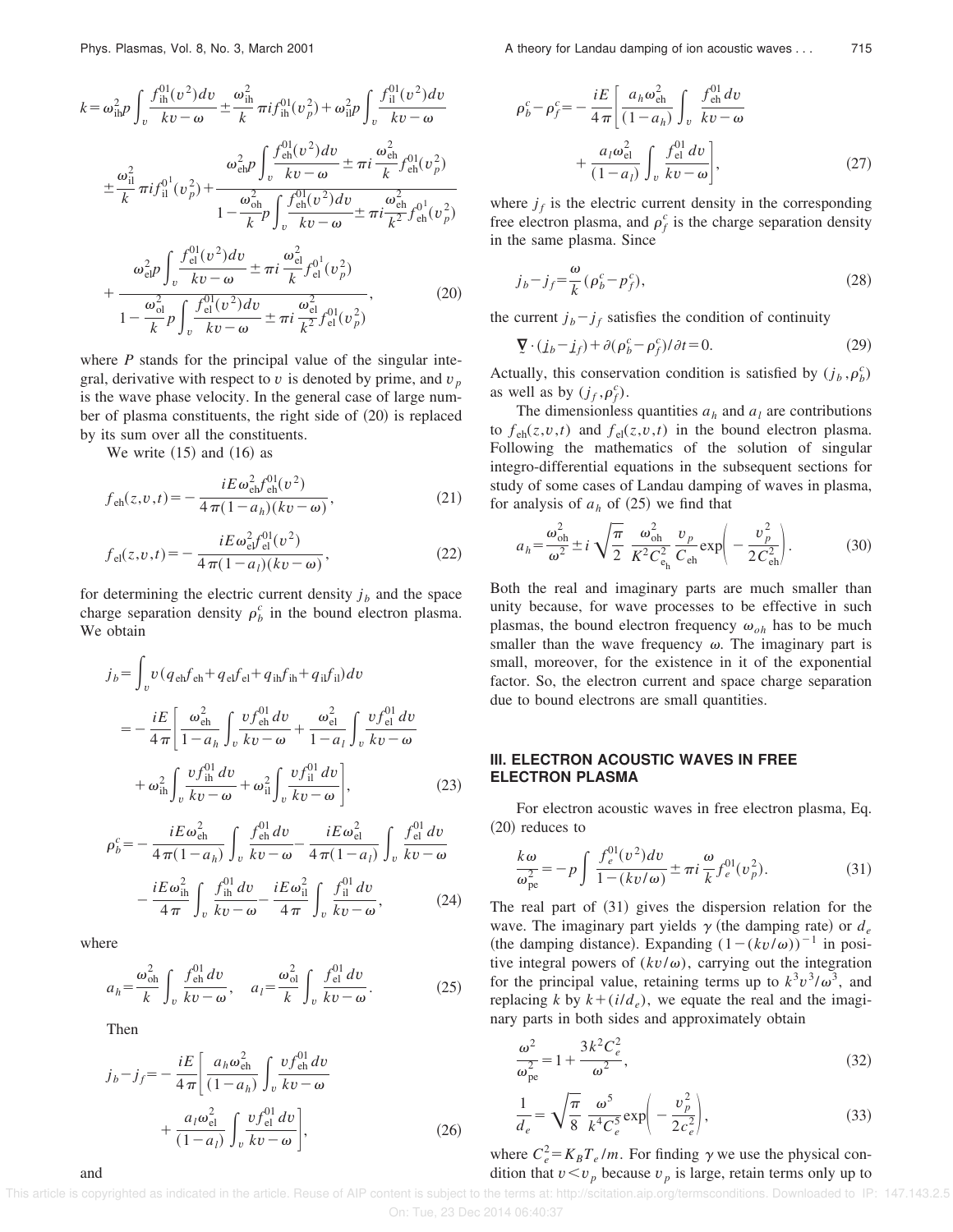$$
k = \omega_{\text{ih}}^2 p \int_v \frac{f_{\text{ih}}^{01}(v^2) dv}{kv - \omega} \pm \frac{\omega_{\text{ih}}^2}{k} \pi i f_{\text{ih}}^{01}(v_p^2) + \omega_{\text{ih}}^2 p \int_v \frac{f_{\text{li}}^{01}(v^2) dv}{kv - \omega} \n\pm \frac{\omega_{\text{ih}}^2}{k} \pi i f_{\text{li}}^{01}(v_p^2) + \frac{\omega_{\text{ch}}^2 p}{1 - \frac{\omega_{\text{ch}}^2}{k} p} \int_v \frac{f_{\text{ch}}^{01}(v^2) dv}{kv - \omega} \pm \pi i \frac{\omega_{\text{ch}}^2}{k^2} f_{\text{ch}}^{01}(v_p^2) \n+ \frac{\omega_{\text{ch}}^2 p}{\omega_{\text{ch}}^2 p} \int_v \frac{f_{\text{el}}^{01}(v^2) dv}{kv - \omega} \pm \pi i \frac{\omega_{\text{ch}}^2}{k} f_{\text{ch}}^{01}(v_p^2) \n+ \frac{\omega_{\text{ch}}^2 p}{1 - \frac{\omega_{\text{ch}}^2}{k} p} \int_v \frac{f_{\text{el}}^{01}(v^2) dv}{kv - \omega} \pm \pi i \frac{\omega_{\text{el}}^2}{k} f_{\text{el}}^{01}(v_p^2) \n+ \frac{\omega_{\text{ch}}^2 p}{1 - \frac{\omega_{\text{ch}}^2}{k} p} \int_v \frac{f_{\text{el}}^{01}(v^2) dv}{kv - \omega} \pm \pi i \frac{\omega_{\text{el}}^2}{k^2} f_{\text{el}}^{01}(v_p^2)
$$
\n(20)

where *P* stands for the principal value of the singular integral, derivative with respect to  $v$  is denoted by prime, and  $v_p$ is the wave phase velocity. In the general case of large number of plasma constituents, the right side of  $(20)$  is replaced by its sum over all the constituents.

We write  $(15)$  and  $(16)$  as

$$
f_{\text{eh}}(z, v, t) = -\frac{iE \omega_{\text{eh}}^2 f_{\text{eh}}^{01}(v^2)}{4\pi (1 - a_h)(kv - \omega)},
$$
\n(21)

$$
f_{\rm el}(z,v,t) = -\frac{iE\omega_{\rm el}^2 f_{\rm el}^{01}(v^2)}{4\pi(1-a_l)(kv-\omega)},\tag{22}
$$

for determining the electric current density  $j_b$  and the space charge separation density  $\rho_b^c$  in the bound electron plasma. We obtain

$$
j_{b} = \int_{v} v (q_{eh} f_{eh} + q_{el} f_{el} + q_{ih} f_{ih} + q_{il} f_{il}) dv
$$
  
= 
$$
- \frac{iE}{4\pi} \left[ \frac{\omega_{eh}^{2}}{1 - a_{h}} \int_{v} \frac{v f_{eh}^{01} dv}{kv - \omega} + \frac{\omega_{el}^{2}}{1 - a_{l}} \int_{v} \frac{v f_{el}^{01} dv}{kv - \omega} + \omega_{ih}^{2} \int_{v} \frac{v f_{ih}^{01} dv}{kv - \omega} + \omega_{il}^{2} \int_{v} \frac{v f_{il}^{01} dv}{kv - \omega} \right],
$$
(23)

$$
\rho_b^c = -\frac{iE\omega_{\text{eh}}^2}{4\pi(1-a_h)} \int_v \frac{f_{\text{eh}}^{01} dv}{kv - \omega} - \frac{iE\omega_{\text{el}}^2}{4\pi(1-a_l)} \int_v \frac{f_{\text{el}}^{01} dv}{kv - \omega} - \frac{iE\omega_{\text{ih}}^2}{4\pi} \int_v \frac{f_{\text{ih}}^{01} dv}{kv - \omega} - \frac{iE\omega_{\text{ih}}^2}{4\pi} \int_v \frac{f_{\text{li}}^{01} dv}{kv - \omega},
$$
\n(24)

where

$$
a_h = \frac{\omega_{\rm oh}^2}{k} \int_v \frac{f_{\rm eh}^{01} dv}{kv - \omega}, \quad a_l = \frac{\omega_{\rm ol}^2}{k} \int_v \frac{f_{\rm el}^{01} dv}{kv - \omega}.
$$
 (25)

Then

$$
j_b - j_f = -\frac{iE}{4\pi} \left[ \frac{a_h \omega_{\rm eh}^2}{(1 - a_h)} \int_v \frac{v f_{\rm eh}^{01} dv}{kv - \omega} + \frac{a_l \omega_{\rm eh}^2}{(1 - a_l)} \int_v \frac{v f_{\rm eh}^{01} dv}{kv - \omega} \right],
$$
 (26)

$$
\rho_b^c - \rho_f^c = -\frac{iE}{4\pi} \left[ \frac{a_h \omega_{\text{eh}}^2}{(1 - a_h)} \int_v \frac{f_{\text{eh}}^{01} dv}{kv - \omega} + \frac{a_l \omega_{\text{eh}}^2}{(1 - a_l)} \int_v \frac{f_{\text{el}}^{01} dv}{kv - \omega} \right],
$$
\n(27)

where  $j_f$  is the electric current density in the corresponding free electron plasma, and  $\rho_f^c$  is the charge separation density in the same plasma. Since

$$
j_b - j_f = \frac{\omega}{k} (\rho_b^c - \rho_f^c),\tag{28}
$$

the current  $j_b - j_f$  satisfies the condition of continuity

$$
\nabla \cdot (j_b - j_f) + \partial (\rho_b^c - \rho_f^c) / \partial t = 0.
$$
 (29)

Actually, this conservation condition is satisfied by  $(j_b, \rho_b^c)$ as well as by  $(j_f, \rho_f^c)$ .

The dimensionless quantities  $a_h$  and  $a_l$  are contributions to  $f_{eh}(z, v, t)$  and  $f_{el}(z, v, t)$  in the bound electron plasma. Following the mathematics of the solution of singular integro-differential equations in the subsequent sections for study of some cases of Landau damping of waves in plasma, for analysis of  $a_h$  of (25) we find that

$$
a_h = \frac{\omega_{\text{oh}}^2}{\omega^2} \pm i \sqrt{\frac{\pi}{2}} \frac{\omega_{\text{oh}}^2}{K^2 C_{\text{e}_h}^2} \frac{v_p}{C_{\text{eh}}} \exp\left(-\frac{v_p^2}{2C_{\text{eh}}^2}\right).
$$
 (30)

Both the real and imaginary parts are much smaller than unity because, for wave processes to be effective in such plasmas, the bound electron frequency  $\omega_{oh}$  has to be much smaller than the wave frequency  $\omega$ . The imaginary part is small, moreover, for the existence in it of the exponential factor. So, the electron current and space charge separation due to bound electrons are small quantities.

## **III. ELECTRON ACOUSTIC WAVES IN FREE ELECTRON PLASMA**

For electron acoustic waves in free electron plasma, Eq.  $(20)$  reduces to

$$
\frac{k\omega}{\omega_{\rm pe}^2} = -p \int \frac{f_e^{01}(v^2)dv}{1 - (kv/\omega)} \pm \pi i \frac{\omega}{k} f_e^{01}(v_p^2). \tag{31}
$$

The real part of  $(31)$  gives the dispersion relation for the wave. The imaginary part yields  $\gamma$  (the damping rate) or  $d_e$ (the damping distance). Expanding  $(1 - (kv/\omega))^{-1}$  in positive integral powers of  $(kv/\omega)$ , carrying out the integration for the principal value, retaining terms up to  $k^3v^3/\omega^3$ , and replacing *k* by  $k + (i/d_e)$ , we equate the real and the imaginary parts in both sides and approximately obtain

$$
\frac{\omega^2}{\omega_{\rm pe}^2} = 1 + \frac{3k^2 C_e^2}{\omega^2},
$$
\n(32)

$$
\frac{1}{d_e} = \sqrt{\frac{\pi}{8}} \frac{\omega^5}{k^4 C_e^5} \exp\left(-\frac{v_p^2}{2c_e^2}\right),\tag{33}
$$

where  $C_e^2 = K_B T_e / m$ . For finding  $\gamma$  we use the physical condition that  $v \le v_p$  because  $v_p$  is large, retain terms only up to

 This article is copyrighted as indicated in the article. Reuse of AIP content is subject to the terms at: http://scitation.aip.org/termsconditions. Downloaded to IP: 147.143.2.5 On: Tue, 23 Dec 2014 06:40:37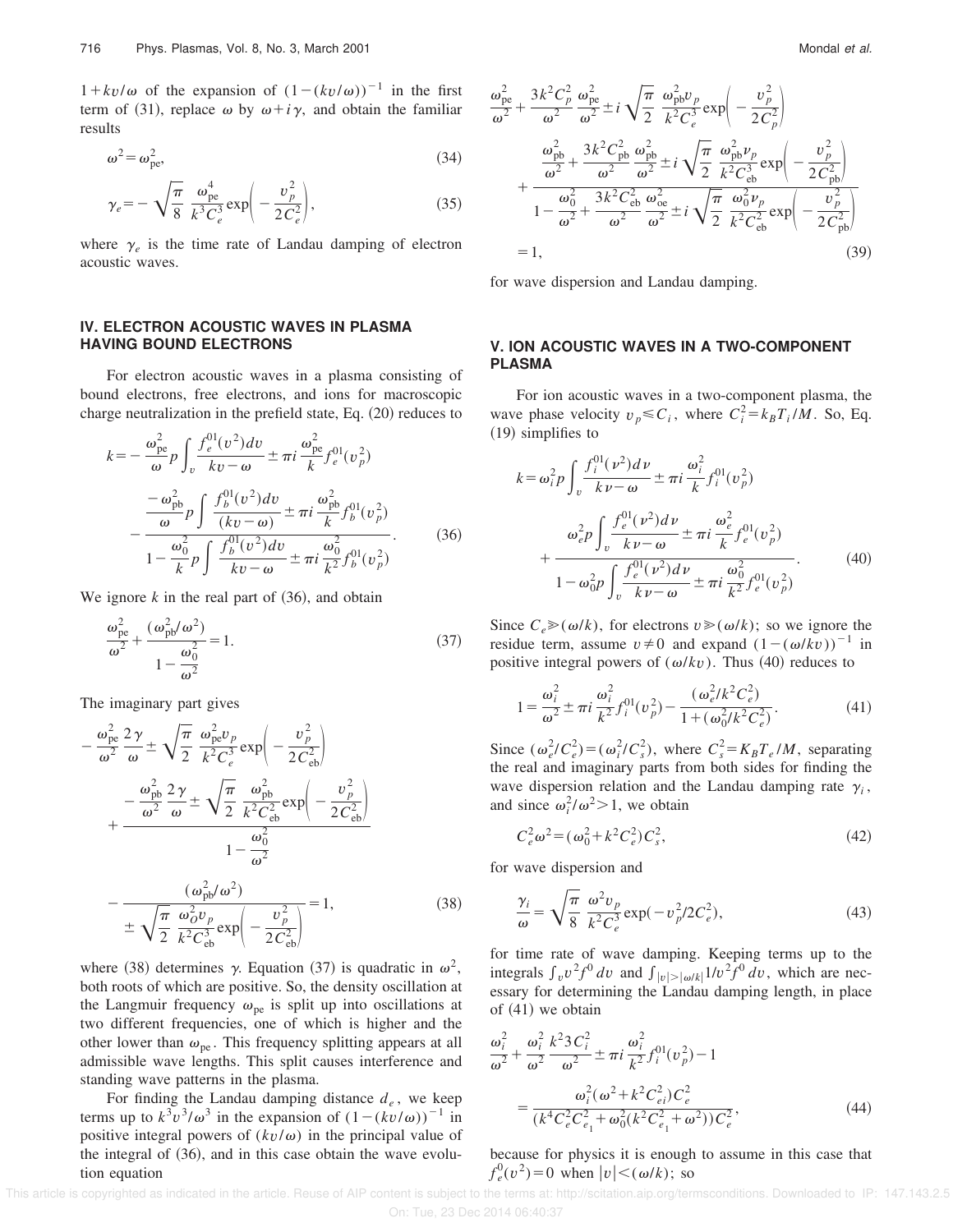$1 + kv/\omega$  of the expansion of  $(1 - (kv/\omega))^{-1}$  in the first term of (31), replace  $\omega$  by  $\omega + i\gamma$ , and obtain the familiar results

$$
\omega^2 = \omega_{\rm pe}^2,\tag{34}
$$

$$
\gamma_e = -\sqrt{\frac{\pi}{8}} \frac{\omega_{pe}^4}{k^3 C_e^3} \exp\left(-\frac{\upsilon_p^2}{2 C_e^2}\right),\tag{35}
$$

where  $\gamma_e$  is the time rate of Landau damping of electron acoustic waves.

#### **IV. ELECTRON ACOUSTIC WAVES IN PLASMA HAVING BOUND ELECTRONS**

For electron acoustic waves in a plasma consisting of bound electrons, free electrons, and ions for macroscopic charge neutralization in the prefield state, Eq.  $(20)$  reduces to

$$
k = -\frac{\omega_{pe}^{2}}{\omega} p \int_{v} \frac{f_{e}^{01}(v^{2}) dv}{kv - \omega} \pm \pi i \frac{\omega_{pe}^{2}}{k} f_{e}^{01}(v_{p}^{2})
$$

$$
-\frac{\omega_{pb}^{2}}{\omega} p \int \frac{f_{b}^{01}(v^{2}) dv}{(kv - \omega)} \pm \pi i \frac{\omega_{pb}^{2}}{k} f_{b}^{01}(v_{p}^{2})
$$

$$
1 - \frac{\omega_{0}^{2}}{k} p \int \frac{f_{b}^{01}(v^{2}) dv}{kv - \omega} \pm \pi i \frac{\omega_{0}^{2}}{k^{2}} f_{b}^{01}(v_{p}^{2})
$$
(36)

We ignore  $k$  in the real part of  $(36)$ , and obtain

$$
\frac{\omega_{\text{pe}}^2}{\omega^2} + \frac{(\omega_{\text{pb}}^2/\omega^2)}{1 - \frac{\omega_0^2}{\omega^2}} = 1.
$$
\n(37)

The imaginary part gives

$$
-\frac{\omega_{pe}^{2}}{\omega^{2}} \frac{2\gamma}{\omega} \pm \sqrt{\frac{\pi}{2}} \frac{\omega_{pe}^{2}v_{p}}{k^{2}C_{e}^{3}} \exp\left(-\frac{v_{p}^{2}}{2C_{eb}^{2}}\right)
$$

$$
+\frac{-\frac{\omega_{pb}^{2}}{\omega^{2}} \frac{2\gamma}{\omega} \pm \sqrt{\frac{\pi}{2}} \frac{\omega_{pb}^{2}}{k^{2}C_{eb}^{2}} \exp\left(-\frac{v_{p}^{2}}{2C_{eb}^{2}}\right)}{1-\frac{\omega_{0}^{2}}{\omega^{2}}}
$$

$$
-\frac{(\omega_{pb}^{2}/\omega^{2})}{\pm \sqrt{\frac{\pi}{2}} \frac{\omega_{o}^{2}v_{p}}{k^{2}C_{eb}^{3}} \exp\left(-\frac{v_{p}^{2}}{2C_{eb}^{2}}\right)} = 1, \qquad (38)
$$

where (38) determines  $\gamma$ . Equation (37) is quadratic in  $\omega^2$ , both roots of which are positive. So, the density oscillation at the Langmuir frequency  $\omega_{pe}$  is split up into oscillations at two different frequencies, one of which is higher and the other lower than  $\omega_{pe}$ . This frequency splitting appears at all admissible wave lengths. This split causes interference and standing wave patterns in the plasma.

For finding the Landau damping distance *d<sup>e</sup>* , we keep terms up to  $k^3v^3/\omega^3$  in the expansion of  $(1 - (kv/\omega))^{-1}$  in positive integral powers of  $(kv/\omega)$  in the principal value of the integral of  $(36)$ , and in this case obtain the wave evolution equation

$$
\frac{\omega_{pe}^{2}}{\omega^{2}} + \frac{3k^{2}C_{p}^{2}}{\omega^{2}} \frac{\omega_{pe}^{2}}{\omega^{2}} \pm i \sqrt{\frac{\pi}{2}} \frac{\omega_{pb}^{2}v_{p}}{k^{2}C_{e}^{3}} \exp\left(-\frac{v_{p}^{2}}{2C_{p}^{2}}\right)
$$
\n
$$
+ \frac{\omega_{pb}^{2}}{\omega^{2}} + \frac{3k^{2}C_{pb}^{2}}{\omega^{2}} \frac{\omega_{pb}^{2}}{\omega^{2}} \pm i \sqrt{\frac{\pi}{2}} \frac{\omega_{pb}^{2}v_{p}}{k^{2}C_{eb}^{3}} \exp\left(-\frac{v_{p}^{2}}{2C_{pb}^{2}}\right)
$$
\n
$$
+ \frac{\omega_{0}^{2}}{1 - \frac{\omega_{0}^{2}}{\omega^{2}} + \frac{3k^{2}C_{eb}^{2}}{\omega^{2}} \frac{\omega_{oe}^{2}}{\omega^{2}} \pm i \sqrt{\frac{\pi}{2}} \frac{\omega_{0}^{2}v_{p}}{k^{2}C_{eb}^{2}} \exp\left(-\frac{v_{p}^{2}}{2C_{pb}^{2}}\right)
$$
\n
$$
= 1, \tag{39}
$$

for wave dispersion and Landau damping.

## **V. ION ACOUSTIC WAVES IN A TWO-COMPONENT PLASMA**

For ion acoustic waves in a two-component plasma, the wave phase velocity  $v_p \leq C_i$ , where  $C_i^2 = k_B T_i / M$ . So, Eq.  $(19)$  simplifies to

$$
k = \omega_i^2 p \int_v \frac{f_i^{01}(v^2) dv}{kv - \omega} \pm \pi i \frac{\omega_i^2}{k} f_i^{01}(v_p^2) + \frac{\omega_e^2 p \int_v \frac{f_e^{01}(v^2) dv}{kv - \omega} \pm \pi i \frac{\omega_e^2}{k} f_e^{01}(v_p^2) + \frac{\omega_e^2 p \int_v \frac{f_e^{01}(v^2) dv}{kv - \omega} \pm \pi i \frac{\omega_0^2}{k^2} f_e^{01}(v_p^2)}{1 - \omega_0^2 p \int_v \frac{f_e^{01}(v^2) dv}{kv - \omega} \pm \pi i \frac{\omega_0^2}{k^2} f_e^{01}(v_p^2)}
$$
(40)

Since  $C_e \geq (\omega/k)$ , for electrons  $v \geq (\omega/k)$ ; so we ignore the residue term, assume  $v \neq 0$  and expand  $(1 - (\omega/kv))^{-1}$  in positive integral powers of  $(\omega/kv)$ . Thus (40) reduces to

$$
1 = \frac{\omega_i^2}{\omega^2} \pm \pi i \frac{\omega_i^2}{k^2} f_i^{01}(v_p^2) - \frac{(\omega_e^2 / k^2 C_e^2)}{1 + (\omega_0^2 / k^2 C_e^2)}.
$$
 (41)

Since  $(\omega_e^2/C_e^2) = (\omega_i^2/C_s^2)$ , where  $C_s^2 = K_B T_e/M$ , separating the real and imaginary parts from both sides for finding the wave dispersion relation and the Landau damping rate  $\gamma_i$ , and since  $\omega_i^2/\omega^2 > 1$ , we obtain

$$
C_e^2 \omega^2 = (\omega_0^2 + k^2 C_e^2) C_s^2,
$$
\n(42)

for wave dispersion and

$$
\frac{\gamma_i}{\omega} = \sqrt{\frac{\pi}{8}} \frac{\omega^2 v_p}{k^2 C_e^3} \exp(-v_p^2 / 2C_e^2),\tag{43}
$$

for time rate of wave damping. Keeping terms up to the integrals  $\int_{v} v^2 f^0 dv$  and  $\int_{|v| > |\omega/k|} 1/v^2 f^0 dv$ , which are necessary for determining the Landau damping length, in place of  $(41)$  we obtain

$$
\frac{\omega_i^2}{\omega^2} + \frac{\omega_i^2}{\omega^2} \frac{k^2 3 C_i^2}{\omega^2} \pm \pi i \frac{\omega_i^2}{k^2} f_i^{01}(v_p^2) - 1
$$

$$
= \frac{\omega_i^2 (\omega^2 + k^2 C_{ei}^2) C_e^2}{(k^4 C_e^2 C_{e_1}^2 + \omega_0^2 (k^2 C_{e_1}^2 + \omega^2)) C_e^2},
$$
(44)

because for physics it is enough to assume in this case that  $f_e^0(v^2) = 0$  when  $|v| < (\omega/k)$ ; so

 This article is copyrighted as indicated in the article. Reuse of AIP content is subject to the terms at: http://scitation.aip.org/termsconditions. Downloaded to IP: 147.143.2.5 On: Tue, 23 Dec 2014 06:40:37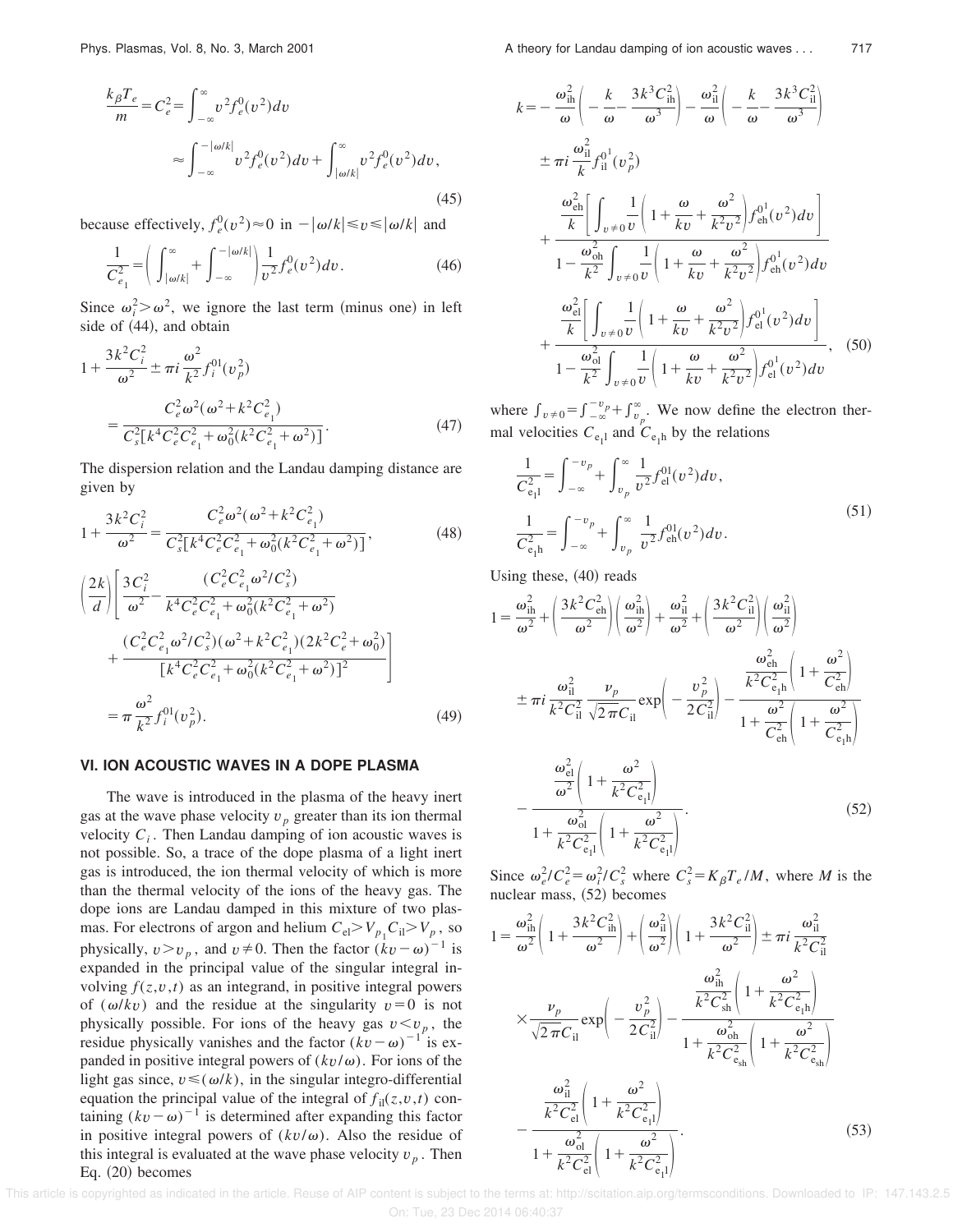$$
\frac{k_{\beta}T_{e}}{m} = C_{e}^{2} = \int_{-\infty}^{\infty} v^{2} f_{e}^{0}(v^{2}) dv
$$

$$
\approx \int_{-\infty}^{-|\omega/k|} v^{2} f_{e}^{0}(v^{2}) dv + \int_{|\omega/k|}^{\infty} v^{2} f_{e}^{0}(v^{2}) dv,
$$
(45)

because effectively,  $f_e^0(v^2) \approx 0$  in  $-|\omega/k| \le v \le |\omega/k|$  and

$$
\frac{1}{C_{e_1}^2} = \left(\int_{|\omega/k|}^{\infty} + \int_{-\infty}^{-|\omega/k|} \frac{1}{v^2} f_e^0(v^2) dv.\right)
$$
(46)

Since  $\omega_i^2 > \omega^2$ , we ignore the last term (minus one) in left side of  $(44)$ , and obtain

$$
1 + \frac{3k^2 C_i^2}{\omega^2} \pm \pi i \frac{\omega^2}{k^2} f_i^{01}(v_p^2)
$$
  
= 
$$
\frac{C_e^2 \omega^2 (\omega^2 + k^2 C_{e_1}^2)}{C_s^2 [k^4 C_e^2 C_{e_1}^2 + \omega_0^2 (k^2 C_{e_1}^2 + \omega^2)]}.
$$
 (47)

The dispersion relation and the Landau damping distance are given by

$$
1 + \frac{3k^2C_i^2}{\omega^2} = \frac{C_e^2 \omega^2 (\omega^2 + k^2 C_{e_1}^2)}{C_s^2 [k^4 C_e^2 C_{e_1}^2 + \omega_0^2 (k^2 C_{e_1}^2 + \omega^2)]},
$$
(48)

$$
\left(\frac{2k}{d}\right) \left[ \frac{3C_i^2}{\omega^2} - \frac{(C_e^2 C_{e_1}^2 \omega^2 / C_s^2)}{k^4 C_e^2 C_{e_1}^2 + \omega_0^2 (k^2 C_{e_1}^2 + \omega^2)} + \frac{(C_e^2 C_{e_1}^2 \omega^2 / C_s^2) (\omega^2 + k^2 C_{e_1}^2) (2k^2 C_e^2 + \omega_0^2)}{[k^4 C_e^2 C_{e_1}^2 + \omega_0^2 (k^2 C_{e_1}^2 + \omega^2)]^2} \right]
$$
\n
$$
= \pi \frac{\omega^2}{k^2} f_i^{01}(v_p^2). \tag{49}
$$

### **VI. ION ACOUSTIC WAVES IN A DOPE PLASMA**

The wave is introduced in the plasma of the heavy inert gas at the wave phase velocity  $v_p$  greater than its ion thermal velocity  $C_i$ . Then Landau damping of ion acoustic waves is not possible. So, a trace of the dope plasma of a light inert gas is introduced, the ion thermal velocity of which is more than the thermal velocity of the ions of the heavy gas. The dope ions are Landau damped in this mixture of two plasmas. For electrons of argon and helium  $C_{el} > V_{p_1} C_{il} > V_p$ , so physically,  $v > v_p$ , and  $v \neq 0$ . Then the factor  $(kv - \omega)^{-1}$  is expanded in the principal value of the singular integral involving  $f(z, v, t)$  as an integrand, in positive integral powers of ( $\omega/kv$ ) and the residue at the singularity  $v=0$  is not physically possible. For ions of the heavy gas  $v < v_p$ , the residue physically vanishes and the factor  $(kv - \omega)^{-1}$  is expanded in positive integral powers of  $(kv/\omega)$ . For ions of the light gas since,  $v \leq (\omega/k)$ , in the singular integro-differential equation the principal value of the integral of  $f_{il}(z, v, t)$  containing  $(kv - \omega)^{-1}$  is determined after expanding this factor in positive integral powers of  $(kv/\omega)$ . Also the residue of this integral is evaluated at the wave phase velocity  $v_p$ . Then Eq.  $(20)$  becomes

$$
= -\frac{\omega_{\text{ih}}^2}{\omega} \left( -\frac{k}{\omega} - \frac{3k^3 C_{\text{ih}}^2}{\omega^3} \right) - \frac{\omega_{\text{il}}^2}{\omega} \left( -\frac{k}{\omega} - \frac{3k^3 C_{\text{il}}^2}{\omega^3} \right)
$$
  
\n
$$
\pm \pi i \frac{\omega_{\text{ih}}^2}{k} f_{\text{il}}^{01}(v_p^2)
$$
  
\n
$$
+ \frac{\frac{\omega_{\text{ch}}^2}{k} \left[ \int_{v \neq 0} \frac{1}{v} \left( 1 + \frac{\omega}{kv} + \frac{\omega^2}{k^2 v^2} \right) f_{\text{eh}}^{01}(v^2) dv \right]}{1 - \frac{\omega_{\text{oh}}^2}{k^2} \int_{v \neq 0} \frac{1}{v} \left( 1 + \frac{\omega}{kv} + \frac{\omega^2}{k^2 v^2} \right) f_{\text{eh}}^{01}(v^2) dv
$$
  
\n
$$
+ \frac{\frac{\omega_{\text{el}}^2}{k} \left[ \int_{v \neq 0} \frac{1}{v} \left( 1 + \frac{\omega}{kv} + \frac{\omega^2}{k^2 v^2} \right) f_{\text{el}}^{01}(v^2) dv \right]}{1 - \frac{\omega_{\text{ol}}^2}{k^2} \int_{v \neq 0} \frac{1}{v} \left( 1 + \frac{\omega}{kv} + \frac{\omega^2}{k^2 v^2} \right) f_{\text{el}}^{01}(v^2) dv}, \quad (50)
$$

where  $\int_{v \neq 0}^{\infty} = \int_{-\infty}^{-v_p} + \int_{v_p}^{\infty}$ . We now define the electron thermal velocities  $C_{e_1}$  and  $C_{e_1}$  by the relations

$$
\frac{1}{C_{e_1l}^2} = \int_{-\infty}^{-v_p} + \int_{v_p}^{\infty} \frac{1}{v^2} f_{el}^{01}(v^2) dv,
$$
\n
$$
\frac{1}{C_{e_1h}^2} = \int_{-\infty}^{-v_p} + \int_{v_p}^{\infty} \frac{1}{v^2} f_{eh}^{01}(v^2) dv.
$$
\n(51)

Using these,  $(40)$  reads

*k* 

$$
1 = \frac{\omega_{\text{ih}}^2}{\omega^2} + \left(\frac{3k^2 C_{\text{eh}}^2}{\omega^2}\right) \left(\frac{\omega_{\text{ih}}^2}{\omega^2}\right) + \frac{\omega_{\text{il}}^2}{\omega^2} + \left(\frac{3k^2 C_{\text{il}}^2}{\omega^2}\right) \left(\frac{\omega_{\text{il}}^2}{\omega^2}\right)
$$
  

$$
\pm \pi i \frac{\omega_{\text{il}}^2}{k^2 C_{\text{il}}^2} \frac{\nu_p}{\sqrt{2\pi C_{\text{il}}}} \exp\left(-\frac{\nu_p^2}{2 C_{\text{il}}^2}\right) - \frac{\frac{\omega_{\text{eh}}^2}{k^2 C_{\text{eh}}^2} \left(1 + \frac{\omega^2}{C_{\text{eh}}^2}\right)}{1 + \frac{\omega^2}{C_{\text{eh}}^2} \left(1 + \frac{\omega^2}{C_{\text{eh}}^2}\right)}
$$
  

$$
-\frac{\frac{\omega_{\text{el}}^2}{\omega^2} \left(1 + \frac{\omega^2}{k^2 C_{\text{eh}}^2}\right)}{1 + \frac{\omega_{\text{el}}^2}{k^2 C_{\text{eh}}^2} \left(1 + \frac{\omega^2}{k^2 C_{\text{eh}}^2}\right)}.
$$
(52)

Since  $\omega_e^2 / C_e^2 = \omega_i^2 / C_s^2$  where  $C_s^2 = K_\beta T_e / M$ , where *M* is the nuclear mass,  $(52)$  becomes

$$
1 = \frac{\omega_{\text{ih}}^2}{\omega^2} \left( 1 + \frac{3k^2 C_{\text{ih}}^2}{\omega^2} \right) + \left( \frac{\omega_{\text{il}}^2}{\omega^2} \right) \left( 1 + \frac{3k^2 C_{\text{il}}^2}{\omega^2} \right) \pm \pi i \frac{\omega_{\text{il}}^2}{k^2 C_{\text{il}}^2}
$$

$$
\times \frac{\nu_p}{\sqrt{2\pi C_{\text{il}}}} \exp \left( -\frac{\nu_p^2}{2C_{\text{il}}^2} \right) - \frac{\frac{\omega_{\text{ih}}^2}{k^2 C_{\text{sh}}^2} \left( 1 + \frac{\omega^2}{k^2 C_{\text{e/h}}^2} \right)}{1 + \frac{\omega_{\text{ch}}^2}{k^2 C_{\text{e/h}}^2} \left( 1 + \frac{\omega^2}{k^2 C_{\text{e/h}}^2} \right)}
$$

$$
- \frac{\frac{\omega_{\text{il}}^2}{k^2 C_{\text{el}}^2} \left( 1 + \frac{\omega^2}{k^2 C_{\text{e}}^2} \right)}{1 + \frac{\omega_{\text{ol}}^2}{k^2 C_{\text{el}}^2} \left( 1 + \frac{\omega^2}{k^2 C_{\text{e}}^2} \right)}.
$$
(53)

is copyrighted as indicated in the article. Reuse of AIP content is subject to the terms at: http://scitation.aip.org/termsconditions. Downloaded to IP: 147.143.2.5 On: Tue, 23 Dec 2014 06:40:37